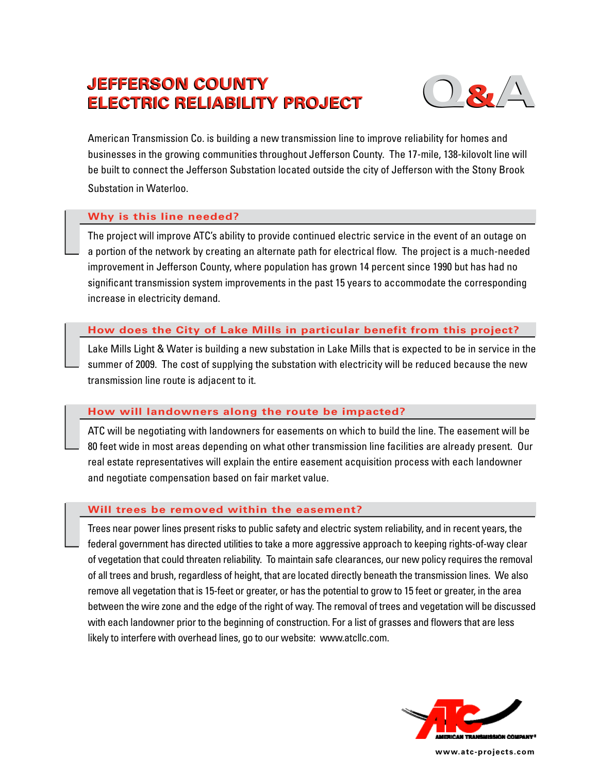# **JEFFERSON COUNTY ELECTRIC RELIABILITY PROJECT**  $\overline{Q_{\bullet}}/\overline{A_{\bullet}}$



American Transmission Co. is building a new transmission line to improve reliability for homes and businesses in the growing communities throughout Jefferson County. The 17-mile, 138-kilovolt line will be built to connect the Jefferson Substation located outside the city of Jefferson with the Stony Brook Substation in Waterloo.

## **Why is this line needed?**

The project will improve ATC's ability to provide continued electric service in the event of an outage on a portion of the network by creating an alternate path for electrical flow. The project is a much-needed improvement in Jefferson County, where population has grown 14 percent since 1990 but has had no significant transmission system improvements in the past 15 years to accommodate the corresponding increase in electricity demand.

# **How does the City of Lake Mills in particular benefit from this project?**

Lake Mills Light & Water is building a new substation in Lake Mills that is expected to be in service in the summer of 2009. The cost of supplying the substation with electricity will be reduced because the new transmission line route is adjacent to it.

## **How will landowners along the route be impacted?**

ATC will be negotiating with landowners for easements on which to build the line. The easement will be 80 feet wide in most areas depending on what other transmission line facilities are already present. Our real estate representatives will explain the entire easement acquisition process with each landowner and negotiate compensation based on fair market value.

## **Will trees be removed within the easement?**

Trees near power lines present risks to public safety and electric system reliability, and in recent years, the federal government has directed utilities to take a more aggressive approach to keeping rights-of-way clear of vegetation that could threaten reliability. To maintain safe clearances, our new policy requires the removal of all trees and brush, regardless of height, that are located directly beneath the transmission lines. We also remove all vegetation that is 15-feet or greater, or has the potential to grow to 15 feet or greater, in the area between the wire zone and the edge of the right of way. The removal of trees and vegetation will be discussed with each landowner prior to the beginning of construction. For a list of grasses and flowers that are less likely to interfere with overhead lines, go to our website: www.atcllc.com.